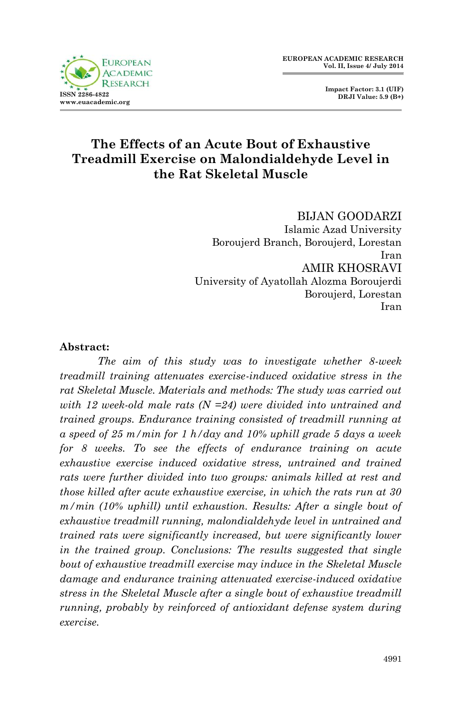

 **Impact Factor: 3.1 (UIF) DRJI Value: 5.9 (B+)**

# **The Effects of an Acute Bout of Exhaustive Treadmill Exercise on Malondialdehyde Level in the Rat Skeletal Muscle**

BIJAN GOODARZI Islamic Azad University Boroujerd Branch, Boroujerd, Lorestan Iran AMIR KHOSRAVI University of Ayatollah Alozma Boroujerdi Boroujerd, Lorestan Iran

#### **Abstract:**

*The aim of this study was to investigate whether 8-week treadmill training attenuates exercise-induced oxidative stress in the rat Skeletal Muscle. Materials and methods: The study was carried out with 12 week-old male rats (N =24) were divided into untrained and trained groups. Endurance training consisted of treadmill running at a speed of 25 m/min for 1 h/day and 10% uphill grade 5 days a week for 8 weeks. To see the effects of endurance training on acute exhaustive exercise induced oxidative stress, untrained and trained rats were further divided into two groups: animals killed at rest and those killed after acute exhaustive exercise, in which the rats run at 30 m/min (10% uphill) until exhaustion. Results: After a single bout of exhaustive treadmill running, malondialdehyde level in untrained and trained rats were significantly increased, but were significantly lower in the trained group. Conclusions: The results suggested that single bout of exhaustive treadmill exercise may induce in the Skeletal Muscle damage and endurance training attenuated exercise-induced oxidative stress in the Skeletal Muscle after a single bout of exhaustive treadmill running, probably by reinforced of antioxidant defense system during exercise.*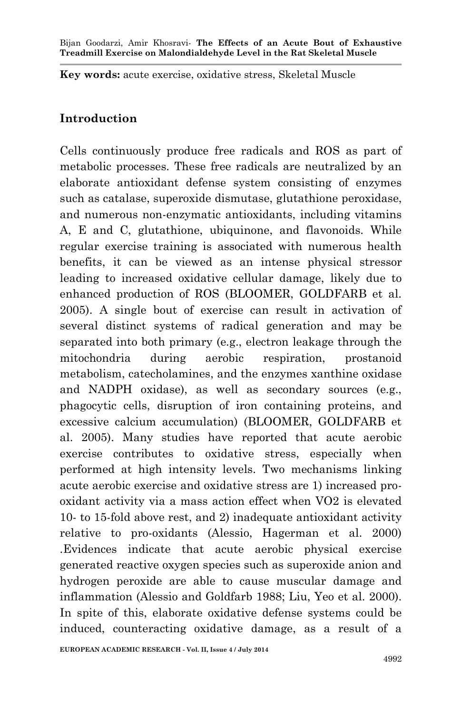**Key words:** acute exercise, oxidative stress, Skeletal Muscle

### **Introduction**

Cells continuously produce free radicals and ROS as part of metabolic processes. These free radicals are neutralized by an elaborate antioxidant defense system consisting of enzymes such as catalase, superoxide dismutase, glutathione peroxidase, and numerous non-enzymatic antioxidants, including vitamins A, E and C, glutathione, ubiquinone, and flavonoids. While regular exercise training is associated with numerous health benefits, it can be viewed as an intense physical stressor leading to increased oxidative cellular damage, likely due to enhanced production of ROS (BLOOMER, GOLDFARB et al. 2005). A single bout of exercise can result in activation of several distinct systems of radical generation and may be separated into both primary (e.g., electron leakage through the mitochondria during aerobic respiration, prostanoid metabolism, catecholamines, and the enzymes xanthine oxidase and NADPH oxidase), as well as secondary sources (e.g., phagocytic cells, disruption of iron containing proteins, and excessive calcium accumulation) (BLOOMER, GOLDFARB et al. 2005). Many studies have reported that acute aerobic exercise contributes to oxidative stress, especially when performed at high intensity levels. Two mechanisms linking acute aerobic exercise and oxidative stress are 1) increased prooxidant activity via a mass action effect when VO2 is elevated 10- to 15-fold above rest, and 2) inadequate antioxidant activity relative to pro-oxidants (Alessio, Hagerman et al. 2000) .Evidences indicate that acute aerobic physical exercise generated reactive oxygen species such as superoxide anion and hydrogen peroxide are able to cause muscular damage and inflammation (Alessio and Goldfarb 1988; Liu, Yeo et al. 2000). In spite of this, elaborate oxidative defense systems could be induced, counteracting oxidative damage, as a result of a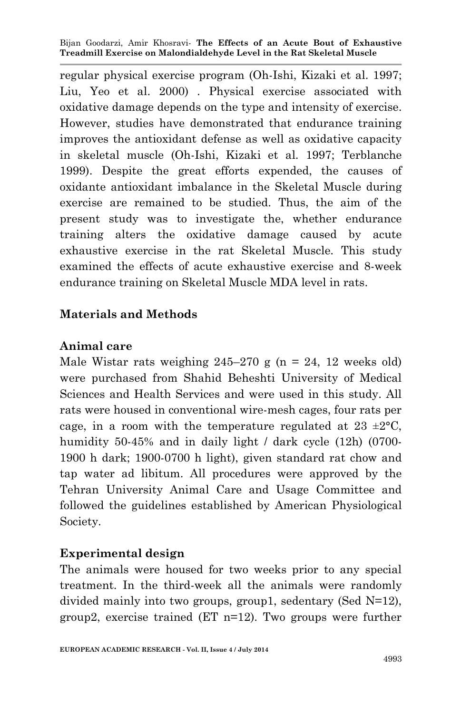regular physical exercise program (Oh-Ishi, Kizaki et al. 1997; Liu, Yeo et al. 2000) . Physical exercise associated with oxidative damage depends on the type and intensity of exercise. However, studies have demonstrated that endurance training improves the antioxidant defense as well as oxidative capacity in skeletal muscle (Oh-Ishi, Kizaki et al. 1997; Terblanche 1999). Despite the great efforts expended, the causes of oxidante antioxidant imbalance in the Skeletal Muscle during exercise are remained to be studied. Thus, the aim of the present study was to investigate the, whether endurance training alters the oxidative damage caused by acute exhaustive exercise in the rat Skeletal Muscle. This study examined the effects of acute exhaustive exercise and 8-week endurance training on Skeletal Muscle MDA level in rats.

### **Materials and Methods**

### **Animal care**

Male Wistar rats weighing  $245-270$  g (n = 24, 12 weeks old) were purchased from Shahid Beheshti University of Medical Sciences and Health Services and were used in this study. All rats were housed in conventional wire-mesh cages, four rats per cage, in a room with the temperature regulated at  $23 \pm 2^{\circ}C$ , humidity 50-45% and in daily light / dark cycle (12h) (0700-1900 h dark; 1900-0700 h light), given standard rat chow and tap water ad libitum. All procedures were approved by the Tehran University Animal Care and Usage Committee and followed the guidelines established by American Physiological Society.

### **Experimental design**

The animals were housed for two weeks prior to any special treatment. In the third-week all the animals were randomly divided mainly into two groups, group1, sedentary (Sed N=12), group2, exercise trained (ET n=12). Two groups were further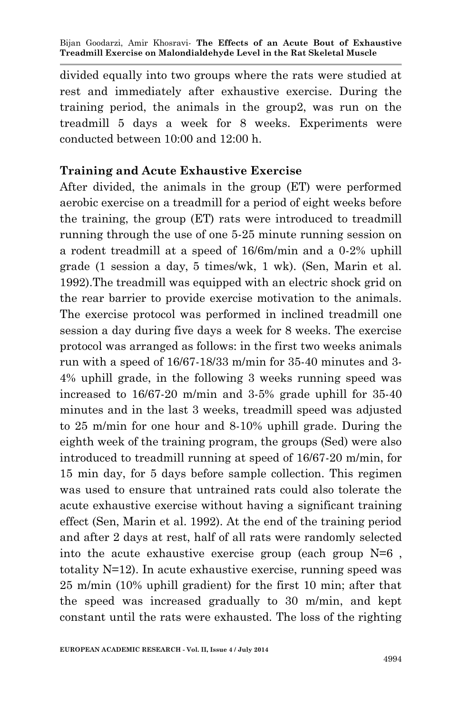divided equally into two groups where the rats were studied at rest and immediately after exhaustive exercise. During the training period, the animals in the group2, was run on the treadmill 5 days a week for 8 weeks. Experiments were conducted between 10:00 and 12:00 h.

## **Training and Acute Exhaustive Exercise**

After divided, the animals in the group (ET) were performed aerobic exercise on a treadmill for a period of eight weeks before the training, the group (ET) rats were introduced to treadmill running through the use of one 5-25 minute running session on a rodent treadmill at a speed of 16/6m/min and a 0-2% uphill grade  $(1$  session a day, 5 times/wk,  $1$  wk). (Sen, Marin et al. 1992).The treadmill was equipped with an electric shock grid on the rear barrier to provide exercise motivation to the animals. The exercise protocol was performed in inclined treadmill one session a day during five days a week for 8 weeks. The exercise protocol was arranged as follows: in the first two weeks animals run with a speed of 16/67-18/33 m/min for 35-40 minutes and 3- 4% uphill grade, in the following 3 weeks running speed was increased to 16/67-20 m/min and 3-5% grade uphill for 35-40 minutes and in the last 3 weeks, treadmill speed was adjusted to 25 m/min for one hour and 8-10% uphill grade. During the eighth week of the training program, the groups (Sed) were also introduced to treadmill running at speed of 16/67-20 m/min, for 15 min day, for 5 days before sample collection. This regimen was used to ensure that untrained rats could also tolerate the acute exhaustive exercise without having a significant training effect (Sen, Marin et al. 1992). At the end of the training period and after 2 days at rest, half of all rats were randomly selected into the acute exhaustive exercise group (each group  $N=6$ , totality N=12). In acute exhaustive exercise, running speed was 25 m/min (10% uphill gradient) for the first 10 min; after that the speed was increased gradually to 30 m/min, and kept constant until the rats were exhausted. The loss of the righting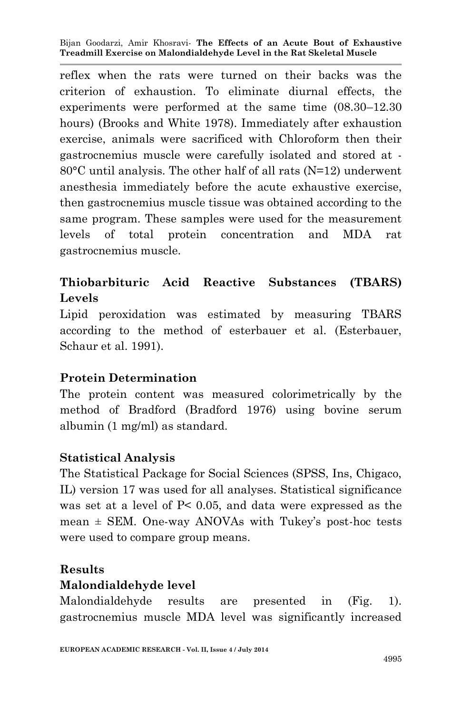reflex when the rats were turned on their backs was the criterion of exhaustion. To eliminate diurnal effects, the experiments were performed at the same time (08.30–12.30 hours) (Brooks and White 1978). Immediately after exhaustion exercise, animals were sacrificed with Chloroform then their gastrocnemius muscle were carefully isolated and stored at - 80°C until analysis. The other half of all rats (N=12) underwent anesthesia immediately before the acute exhaustive exercise, then gastrocnemius muscle tissue was obtained according to the same program. These samples were used for the measurement levels of total protein concentration and MDA rat gastrocnemius muscle.

# **Thiobarbituric Acid Reactive Substances (TBARS) Levels**

Lipid peroxidation was estimated by measuring TBARS according to the method of esterbauer et al. (Esterbauer, Schaur et al. 1991).

### **Protein Determination**

The protein content was measured colorimetrically by the method of Bradford (Bradford 1976) using bovine serum albumin (1 mg/ml) as standard.

#### **Statistical Analysis**

The Statistical Package for Social Sciences (SPSS, Ins, Chigaco, IL) version 17 was used for all analyses. Statistical significance was set at a level of P< 0.05, and data were expressed as the mean  $\pm$  SEM. One-way ANOVAs with Tukey's post-hoc tests were used to compare group means.

### **Results**

### **Malondialdehyde level**

Malondialdehyde results are presented in (Fig. 1). gastrocnemius muscle MDA level was significantly increased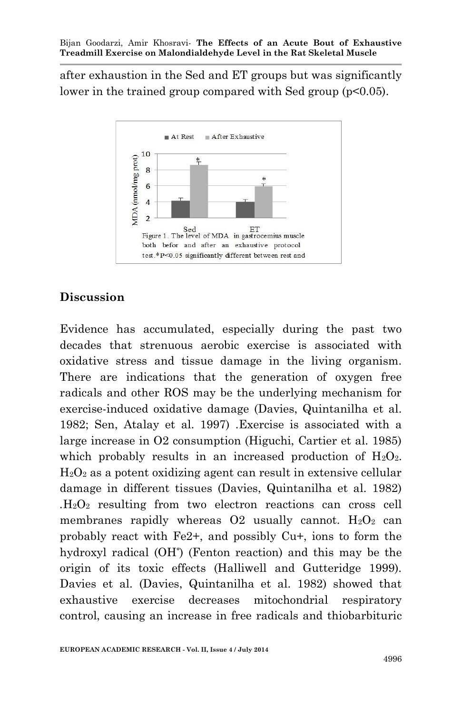after exhaustion in the Sed and ET groups but was significantly lower in the trained group compared with Sed group (p<0.05).



## **Discussion**

Evidence has accumulated, especially during the past two decades that strenuous aerobic exercise is associated with oxidative stress and tissue damage in the living organism. There are indications that the generation of oxygen free radicals and other ROS may be the underlying mechanism for exercise-induced oxidative damage (Davies, Quintanilha et al. 1982; Sen, Atalay et al. 1997) .Exercise is associated with a large increase in O2 consumption (Higuchi, Cartier et al. 1985) which probably results in an increased production of  $H_2O_2$ .  $H_2O_2$  as a potent oxidizing agent can result in extensive cellular damage in different tissues (Davies, Quintanilha et al. 1982) *.*H2O<sup>2</sup> resulting from two electron reactions can cross cell membranes rapidly whereas  $O2$  usually cannot.  $H_2O_2$  can probably react with Fe2+, and possibly Cu+, ions to form the hydroxyl radical (OH**°** ) (Fenton reaction) and this may be the origin of its toxic effects (Halliwell and Gutteridge 1999). Davies et al. (Davies, Quintanilha et al. 1982) showed that exhaustive exercise decreases mitochondrial respiratory control, causing an increase in free radicals and thiobarbituric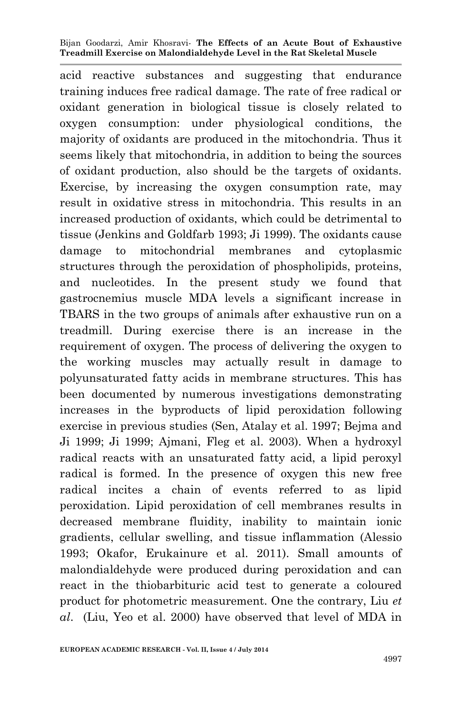acid reactive substances and suggesting that endurance training induces free radical damage. The rate of free radical or oxidant generation in biological tissue is closely related to oxygen consumption: under physiological conditions, the majority of oxidants are produced in the mitochondria. Thus it seems likely that mitochondria, in addition to being the sources of oxidant production, also should be the targets of oxidants. Exercise, by increasing the oxygen consumption rate, may result in oxidative stress in mitochondria. This results in an increased production of oxidants, which could be detrimental to tissue (Jenkins and Goldfarb 1993; Ji 1999). The oxidants cause damage to mitochondrial membranes and cytoplasmic structures through the peroxidation of phospholipids, proteins, and nucleotides. In the present study we found that gastrocnemius muscle MDA levels a significant increase in TBARS in the two groups of animals after exhaustive run on a treadmill. During exercise there is an increase in the requirement of oxygen. The process of delivering the oxygen to the working muscles may actually result in damage to polyunsaturated fatty acids in membrane structures. This has been documented by numerous investigations demonstrating increases in the byproducts of lipid peroxidation following exercise in previous studies (Sen, Atalay et al. 1997; Bejma and Ji 1999; Ji 1999; Ajmani, Fleg et al. 2003). When a hydroxyl radical reacts with an unsaturated fatty acid, a lipid peroxyl radical is formed. In the presence of oxygen this new free radical incites a chain of events referred to as lipid peroxidation. Lipid peroxidation of cell membranes results in decreased membrane fluidity, inability to maintain ionic gradients, cellular swelling, and tissue inflammation (Alessio 1993; Okafor, Erukainure et al. 2011). Small amounts of malondialdehyde were produced during peroxidation and can react in the thiobarbituric acid test to generate a coloured product for photometric measurement. One the contrary, Liu *et al*. (Liu, Yeo et al. 2000) have observed that level of MDA in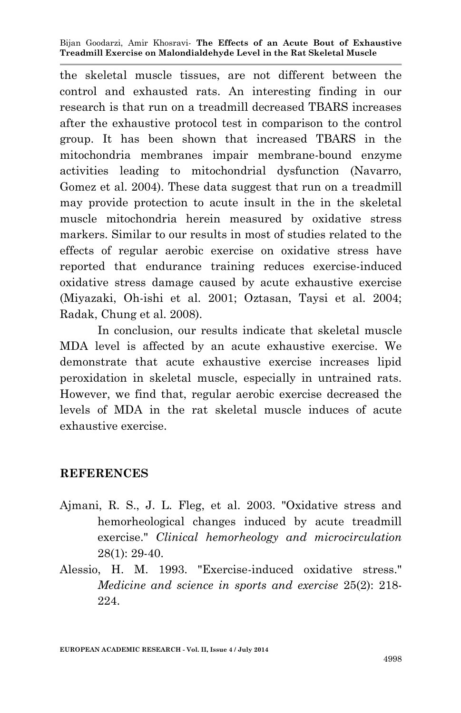the skeletal muscle tissues, are not different between the control and exhausted rats. An interesting finding in our research is that run on a treadmill decreased TBARS increases after the exhaustive protocol test in comparison to the control group. It has been shown that increased TBARS in the mitochondria membranes impair membrane-bound enzyme activities leading to mitochondrial dysfunction (Navarro, Gomez et al. 2004). These data suggest that run on a treadmill may provide protection to acute insult in the in the skeletal muscle mitochondria herein measured by oxidative stress markers. Similar to our results in most of studies related to the effects of regular aerobic exercise on oxidative stress have reported that endurance training reduces exercise-induced oxidative stress damage caused by acute exhaustive exercise (Miyazaki, Oh-ishi et al. 2001; Oztasan, Taysi et al. 2004; Radak, Chung et al. 2008).

In conclusion, our results indicate that skeletal muscle MDA level is affected by an acute exhaustive exercise. We demonstrate that acute exhaustive exercise increases lipid peroxidation in skeletal muscle, especially in untrained rats. However, we find that, regular aerobic exercise decreased the levels of MDA in the rat skeletal muscle induces of acute exhaustive exercise.

#### **REFERENCES**

- Ajmani, R. S., J. L. Fleg, et al. 2003. "Oxidative stress and hemorheological changes induced by acute treadmill exercise." *Clinical hemorheology and microcirculation* 28(1): 29-40.
- Alessio, H. M. 1993. "Exercise-induced oxidative stress." *Medicine and science in sports and exercise* 25(2): 218- 224.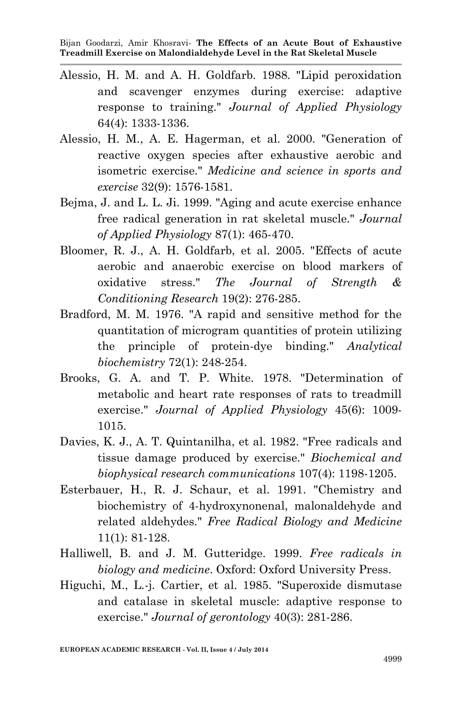- Alessio, H. M. and A. H. Goldfarb. 1988. "Lipid peroxidation and scavenger enzymes during exercise: adaptive response to training." *Journal of Applied Physiology* 64(4): 1333-1336.
- Alessio, H. M., A. E. Hagerman, et al. 2000. "Generation of reactive oxygen species after exhaustive aerobic and isometric exercise." *Medicine and science in sports and exercise* 32(9): 1576-1581.
- Bejma, J. and L. L. Ji. 1999. "Aging and acute exercise enhance free radical generation in rat skeletal muscle." *Journal of Applied Physiology* 87(1): 465-470.
- Bloomer, R. J., A. H. Goldfarb, et al. 2005. "Effects of acute aerobic and anaerobic exercise on blood markers of oxidative stress." *The Journal of Strength & Conditioning Research* 19(2): 276-285.
- Bradford, M. M. 1976. "A rapid and sensitive method for the quantitation of microgram quantities of protein utilizing the principle of protein-dye binding." *Analytical biochemistry* 72(1): 248-254.
- Brooks, G. A. and T. P. White. 1978. "Determination of metabolic and heart rate responses of rats to treadmill exercise." *Journal of Applied Physiology* 45(6): 1009- 1015.
- Davies, K. J., A. T. Quintanilha, et al. 1982. "Free radicals and tissue damage produced by exercise." *Biochemical and biophysical research communications* 107(4): 1198-1205.
- Esterbauer, H., R. J. Schaur, et al. 1991. "Chemistry and biochemistry of 4-hydroxynonenal, malonaldehyde and related aldehydes." *Free Radical Biology and Medicine* 11(1): 81-128.
- Halliwell, B. and J. M. Gutteridge. 1999. *Free radicals in biology and medicine*. Oxford: Oxford University Press.
- Higuchi, M., L.-j. Cartier, et al. 1985. "Superoxide dismutase and catalase in skeletal muscle: adaptive response to exercise." *Journal of gerontology* 40(3): 281-286.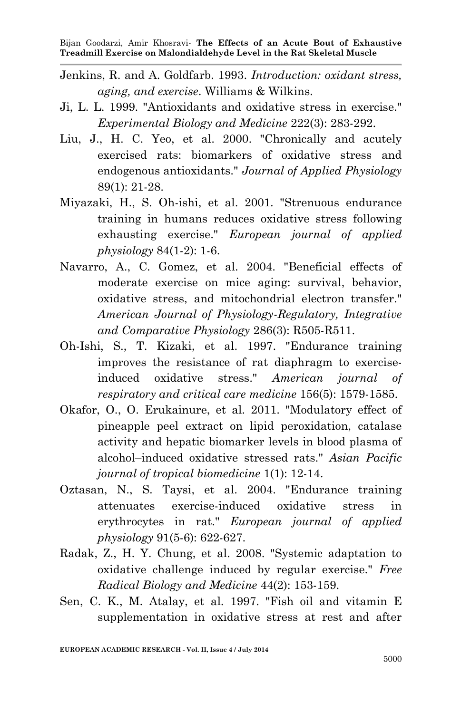- Jenkins, R. and A. Goldfarb. 1993. *Introduction: oxidant stress, aging, and exercise*. Williams & Wilkins.
- Ji, L. L. 1999. "Antioxidants and oxidative stress in exercise." *Experimental Biology and Medicine* 222(3): 283-292.
- Liu, J., H. C. Yeo, et al. 2000. "Chronically and acutely exercised rats: biomarkers of oxidative stress and endogenous antioxidants." *Journal of Applied Physiology* 89(1): 21-28.
- Miyazaki, H., S. Oh-ishi, et al. 2001. "Strenuous endurance training in humans reduces oxidative stress following exhausting exercise." *European journal of applied physiology* 84(1-2): 1-6.
- Navarro, A., C. Gomez, et al. 2004. "Beneficial effects of moderate exercise on mice aging: survival, behavior, oxidative stress, and mitochondrial electron transfer." *American Journal of Physiology-Regulatory, Integrative and Comparative Physiology* 286(3): R505-R511.
- Oh-Ishi, S., T. Kizaki, et al. 1997. "Endurance training improves the resistance of rat diaphragm to exerciseinduced oxidative stress." *American journal of respiratory and critical care medicine* 156(5): 1579-1585.
- Okafor, O., O. Erukainure, et al. 2011. "Modulatory effect of pineapple peel extract on lipid peroxidation, catalase activity and hepatic biomarker levels in blood plasma of alcohol–induced oxidative stressed rats." *Asian Pacific journal of tropical biomedicine* 1(1): 12-14.
- Oztasan, N., S. Taysi, et al. 2004. "Endurance training attenuates exercise-induced oxidative stress in erythrocytes in rat." *European journal of applied physiology* 91(5-6): 622-627.
- Radak, Z., H. Y. Chung, et al. 2008. "Systemic adaptation to oxidative challenge induced by regular exercise." *Free Radical Biology and Medicine* 44(2): 153-159.
- Sen, C. K., M. Atalay, et al. 1997. "Fish oil and vitamin E supplementation in oxidative stress at rest and after